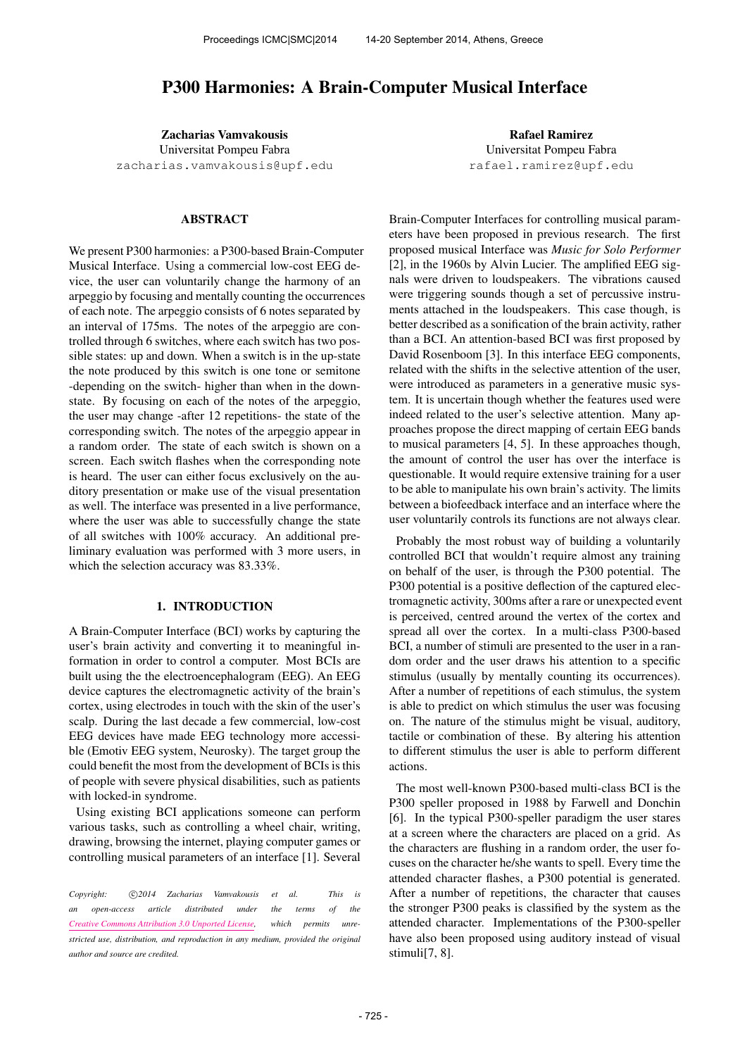# P300 Harmonies: A Brain-Computer Musical Interface

Zacharias Vamvakousis Universitat Pompeu Fabra [zacharias.vamvakousis@upf.edu](mailto:zacharias.vamvakousis@upf.edu)

## ABSTRACT

We present P300 harmonies: a P300-based Brain-Computer Musical Interface. Using a commercial low-cost EEG device, the user can voluntarily change the harmony of an arpeggio by focusing and mentally counting the occurrences of each note. The arpeggio consists of 6 notes separated by an interval of 175ms. The notes of the arpeggio are controlled through 6 switches, where each switch has two possible states: up and down. When a switch is in the up-state the note produced by this switch is one tone or semitone -depending on the switch- higher than when in the downstate. By focusing on each of the notes of the arpeggio, the user may change -after 12 repetitions- the state of the corresponding switch. The notes of the arpeggio appear in a random order. The state of each switch is shown on a screen. Each switch flashes when the corresponding note is heard. The user can either focus exclusively on the auditory presentation or make use of the visual presentation as well. The interface was presented in a live performance, where the user was able to successfully change the state of all switches with 100% accuracy. An additional preliminary evaluation was performed with 3 more users, in which the selection accuracy was 83.33%.

# 1. INTRODUCTION

A Brain-Computer Interface (BCI) works by capturing the user's brain activity and converting it to meaningful information in order to control a computer. Most BCIs are built using the the electroencephalogram (EEG). An EEG device captures the electromagnetic activity of the brain's cortex, using electrodes in touch with the skin of the user's scalp. During the last decade a few commercial, low-cost EEG devices have made EEG technology more accessible (Emotiv EEG system, Neurosky). The target group the could benefit the most from the development of BCIs is this of people with severe physical disabilities, such as patients with locked-in syndrome.

Using existing BCI applications someone can perform various tasks, such as controlling a wheel chair, writing, drawing, browsing the internet, playing computer games or controlling musical parameters of an interface [1]. Several

Rafael Ramirez Universitat Pompeu Fabra [rafael.ramirez@upf.edu](mailto:rafael.ramirez@upf.edu)

Brain-Computer Interfaces for controlling musical parameters have been proposed in previous research. The first proposed musical Interface was *Music for Solo Performer* [2], in the 1960s by Alvin Lucier. The amplified EEG signals were driven to loudspeakers. The vibrations caused were triggering sounds though a set of percussive instruments attached in the loudspeakers. This case though, is better described as a sonification of the brain activity, rather than a BCI. An attention-based BCI was first proposed by David Rosenboom [3]. In this interface EEG components, related with the shifts in the selective attention of the user, were introduced as parameters in a generative music system. It is uncertain though whether the features used were indeed related to the user's selective attention. Many approaches propose the direct mapping of certain EEG bands to musical parameters [4, 5]. In these approaches though, the amount of control the user has over the interface is questionable. It would require extensive training for a user to be able to manipulate his own brain's activity. The limits between a biofeedback interface and an interface where the user voluntarily controls its functions are not always clear.

Probably the most robust way of building a voluntarily controlled BCI that wouldn't require almost any training on behalf of the user, is through the P300 potential. The P300 potential is a positive deflection of the captured electromagnetic activity, 300ms after a rare or unexpected event is perceived, centred around the vertex of the cortex and spread all over the cortex. In a multi-class P300-based BCI, a number of stimuli are presented to the user in a random order and the user draws his attention to a specific stimulus (usually by mentally counting its occurrences). After a number of repetitions of each stimulus, the system is able to predict on which stimulus the user was focusing on. The nature of the stimulus might be visual, auditory, tactile or combination of these. By altering his attention to different stimulus the user is able to perform different actions.

The most well-known P300-based multi-class BCI is the P300 speller proposed in 1988 by Farwell and Donchin [6]. In the typical P300-speller paradigm the user stares at a screen where the characters are placed on a grid. As the characters are flushing in a random order, the user focuses on the character he/she wants to spell. Every time the attended character flashes, a P300 potential is generated. After a number of repetitions, the character that causes the stronger P300 peaks is classified by the system as the attended character. Implementations of the P300-speller have also been proposed using auditory instead of visual stimuli[7, 8].

Copyright:  $\bigcirc$ 2014 Zacharias Vamvakousis et al. This is *an open-access article distributed under the terms of the [Creative Commons Attribution 3.0 Unported License,](http://creativecommons.org/licenses/by/3.0/) which permits unrestricted use, distribution, and reproduction in any medium, provided the original author and source are credited.*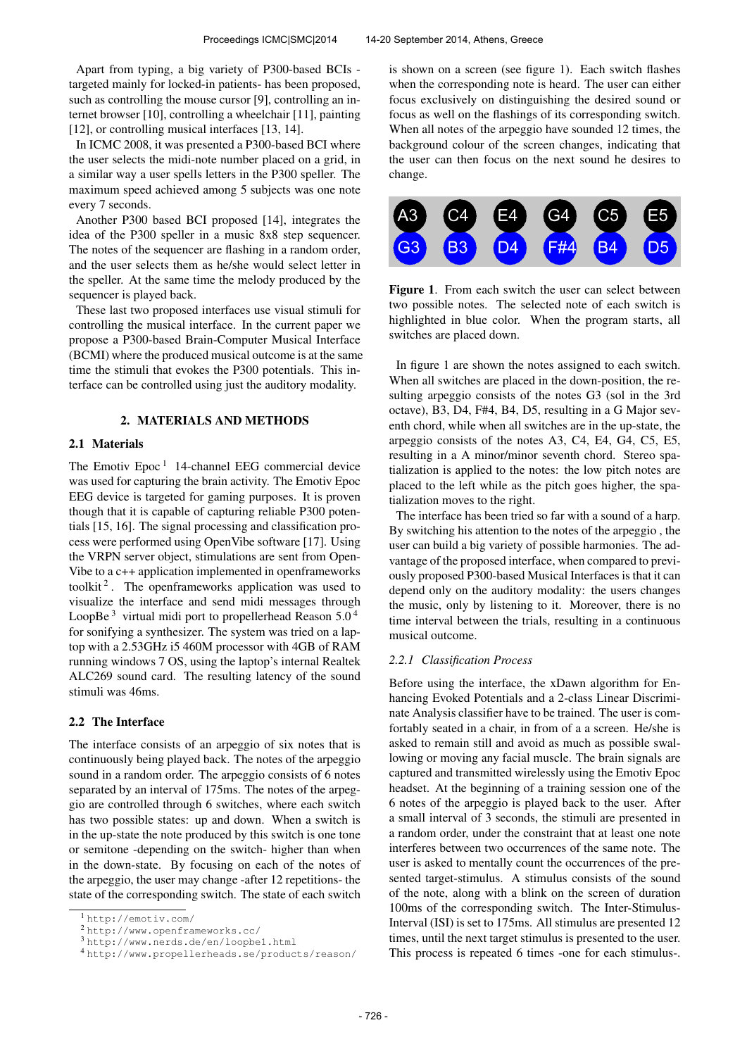Apart from typing, a big variety of P300-based BCIs targeted mainly for locked-in patients- has been proposed, such as controlling the mouse cursor [9], controlling an internet browser [10], controlling a wheelchair [11], painting [12], or controlling musical interfaces [13, 14].

In ICMC 2008, it was presented a P300-based BCI where the user selects the midi-note number placed on a grid, in a similar way a user spells letters in the P300 speller. The maximum speed achieved among 5 subjects was one note every 7 seconds.

Another P300 based BCI proposed [14], integrates the idea of the P300 speller in a music 8x8 step sequencer. The notes of the sequencer are flashing in a random order, and the user selects them as he/she would select letter in the speller. At the same time the melody produced by the sequencer is played back.

These last two proposed interfaces use visual stimuli for controlling the musical interface. In the current paper we propose a P300-based Brain-Computer Musical Interface (BCMI) where the produced musical outcome is at the same time the stimuli that evokes the P300 potentials. This interface can be controlled using just the auditory modality.

# 2. MATERIALS AND METHODS

## 2.1 Materials

The Emotiv Epoc<sup>1</sup> 14-channel EEG commercial device was used for capturing the brain activity. The Emotiv Epoc EEG device is targeted for gaming purposes. It is proven though that it is capable of capturing reliable P300 potentials [15, 16]. The signal processing and classification process were performed using OpenVibe software [17]. Using the VRPN server object, stimulations are sent from Open-Vibe to a c++ application implemented in openframeworks toolkit<sup>2</sup>. The openframeworks application was used to visualize the interface and send midi messages through LoopBe<sup>3</sup> virtual midi port to propellerhead Reason  $5.0<sup>4</sup>$ for sonifying a synthesizer. The system was tried on a laptop with a 2.53GHz i5 460M processor with 4GB of RAM running windows 7 OS, using the laptop's internal Realtek ALC269 sound card. The resulting latency of the sound stimuli was 46ms.

# 2.2 The Interface

The interface consists of an arpeggio of six notes that is continuously being played back. The notes of the arpeggio sound in a random order. The arpeggio consists of 6 notes separated by an interval of 175ms. The notes of the arpeggio are controlled through 6 switches, where each switch has two possible states: up and down. When a switch is in the up-state the note produced by this switch is one tone or semitone -depending on the switch- higher than when in the down-state. By focusing on each of the notes of the arpeggio, the user may change -after 12 repetitions- the state of the corresponding switch. The state of each switch is shown on a screen (see figure 1). Each switch flashes when the corresponding note is heard. The user can either focus exclusively on distinguishing the desired sound or focus as well on the flashings of its corresponding switch. When all notes of the arpeggio have sounded 12 times, the background colour of the screen changes, indicating that the user can then focus on the next sound he desires to change.



Figure 1. From each switch the user can select between two possible notes. The selected note of each switch is highlighted in blue color. When the program starts, all switches are placed down.

In figure 1 are shown the notes assigned to each switch. When all switches are placed in the down-position, the resulting arpeggio consists of the notes G3 (sol in the 3rd octave), B3, D4, F#4, B4, D5, resulting in a G Major seventh chord, while when all switches are in the up-state, the arpeggio consists of the notes A3, C4, E4, G4, C5, E5, resulting in a A minor/minor seventh chord. Stereo spatialization is applied to the notes: the low pitch notes are placed to the left while as the pitch goes higher, the spatialization moves to the right.

The interface has been tried so far with a sound of a harp. By switching his attention to the notes of the arpeggio , the user can build a big variety of possible harmonies. The advantage of the proposed interface, when compared to previously proposed P300-based Musical Interfaces is that it can depend only on the auditory modality: the users changes the music, only by listening to it. Moreover, there is no time interval between the trials, resulting in a continuous musical outcome.

#### *2.2.1 Classification Process*

Before using the interface, the xDawn algorithm for Enhancing Evoked Potentials and a 2-class Linear Discriminate Analysis classifier have to be trained. The user is comfortably seated in a chair, in from of a a screen. He/she is asked to remain still and avoid as much as possible swallowing or moving any facial muscle. The brain signals are captured and transmitted wirelessly using the Emotiv Epoc headset. At the beginning of a training session one of the 6 notes of the arpeggio is played back to the user. After a small interval of 3 seconds, the stimuli are presented in a random order, under the constraint that at least one note interferes between two occurrences of the same note. The user is asked to mentally count the occurrences of the presented target-stimulus. A stimulus consists of the sound of the note, along with a blink on the screen of duration 100ms of the corresponding switch. The Inter-Stimulus-Interval (ISI) is set to 175ms. All stimulus are presented 12 times, until the next target stimulus is presented to the user. This process is repeated 6 times -one for each stimulus-.

<sup>1</sup> <http://emotiv.com/>

<sup>2</sup> <http://www.openframeworks.cc/>

<sup>3</sup> <http://www.nerds.de/en/loopbe1.html>

<sup>4</sup> <http://www.propellerheads.se/products/reason/>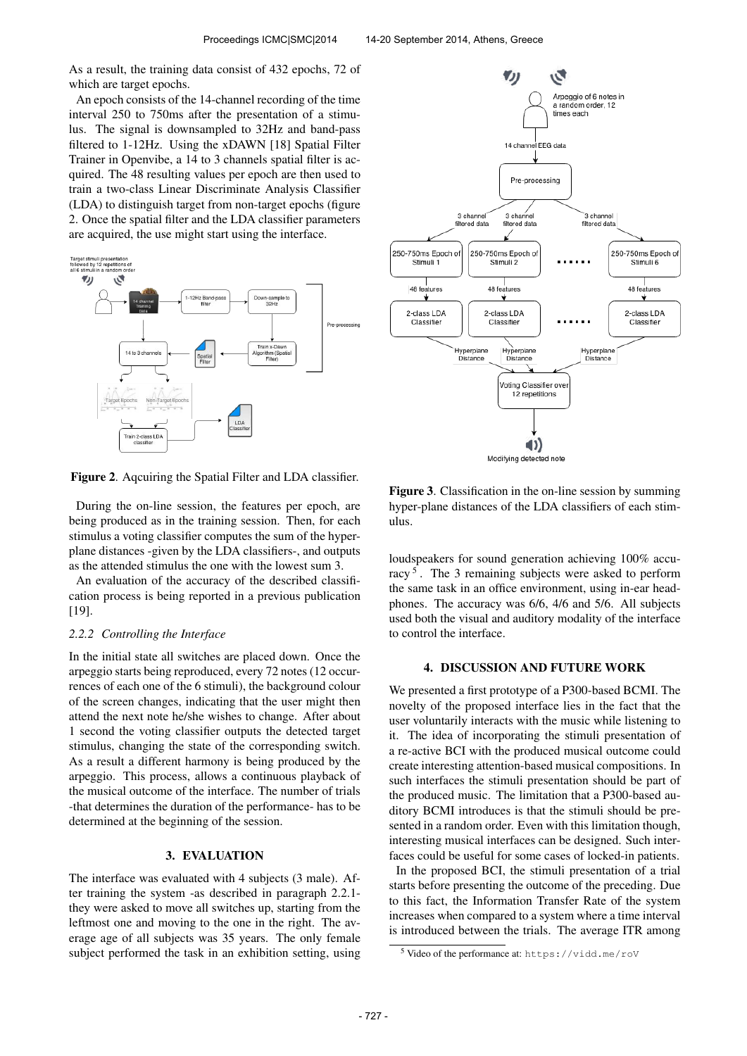As a result, the training data consist of 432 epochs, 72 of which are target epochs.

An epoch consists of the 14-channel recording of the time interval 250 to 750ms after the presentation of a stimulus. The signal is downsampled to 32Hz and band-pass filtered to 1-12Hz. Using the xDAWN [18] Spatial Filter Trainer in Openvibe, a 14 to 3 channels spatial filter is acquired. The 48 resulting values per epoch are then used to train a two-class Linear Discriminate Analysis Classifier (LDA) to distinguish target from non-target epochs (figure 2. Once the spatial filter and the LDA classifier parameters are acquired, the use might start using the interface.



Figure 2. Aqcuiring the Spatial Filter and LDA classifier.

During the on-line session, the features per epoch, are being produced as in the training session. Then, for each stimulus a voting classifier computes the sum of the hyperplane distances -given by the LDA classifiers-, and outputs as the attended stimulus the one with the lowest sum 3.

An evaluation of the accuracy of the described classification process is being reported in a previous publication [19].

### *2.2.2 Controlling the Interface*

In the initial state all switches are placed down. Once the arpeggio starts being reproduced, every 72 notes (12 occurrences of each one of the 6 stimuli), the background colour of the screen changes, indicating that the user might then attend the next note he/she wishes to change. After about 1 second the voting classifier outputs the detected target stimulus, changing the state of the corresponding switch. As a result a different harmony is being produced by the arpeggio. This process, allows a continuous playback of the musical outcome of the interface. The number of trials -that determines the duration of the performance- has to be determined at the beginning of the session.

### 3. EVALUATION

The interface was evaluated with 4 subjects (3 male). After training the system -as described in paragraph 2.2.1 they were asked to move all switches up, starting from the leftmost one and moving to the one in the right. The average age of all subjects was 35 years. The only female subject performed the task in an exhibition setting, using



Figure 3. Classification in the on-line session by summing hyper-plane distances of the LDA classifiers of each stimulus.

loudspeakers for sound generation achieving 100% accuracy<sup>5</sup>. The 3 remaining subjects were asked to perform the same task in an office environment, using in-ear headphones. The accuracy was 6/6, 4/6 and 5/6. All subjects used both the visual and auditory modality of the interface to control the interface.

### 4. DISCUSSION AND FUTURE WORK

We presented a first prototype of a P300-based BCMI. The novelty of the proposed interface lies in the fact that the user voluntarily interacts with the music while listening to it. The idea of incorporating the stimuli presentation of a re-active BCI with the produced musical outcome could create interesting attention-based musical compositions. In such interfaces the stimuli presentation should be part of the produced music. The limitation that a P300-based auditory BCMI introduces is that the stimuli should be presented in a random order. Even with this limitation though, interesting musical interfaces can be designed. Such interfaces could be useful for some cases of locked-in patients.

In the proposed BCI, the stimuli presentation of a trial starts before presenting the outcome of the preceding. Due to this fact, the Information Transfer Rate of the system increases when compared to a system where a time interval is introduced between the trials. The average ITR among

<sup>5</sup> Video of the performance at: <https://vidd.me/roV>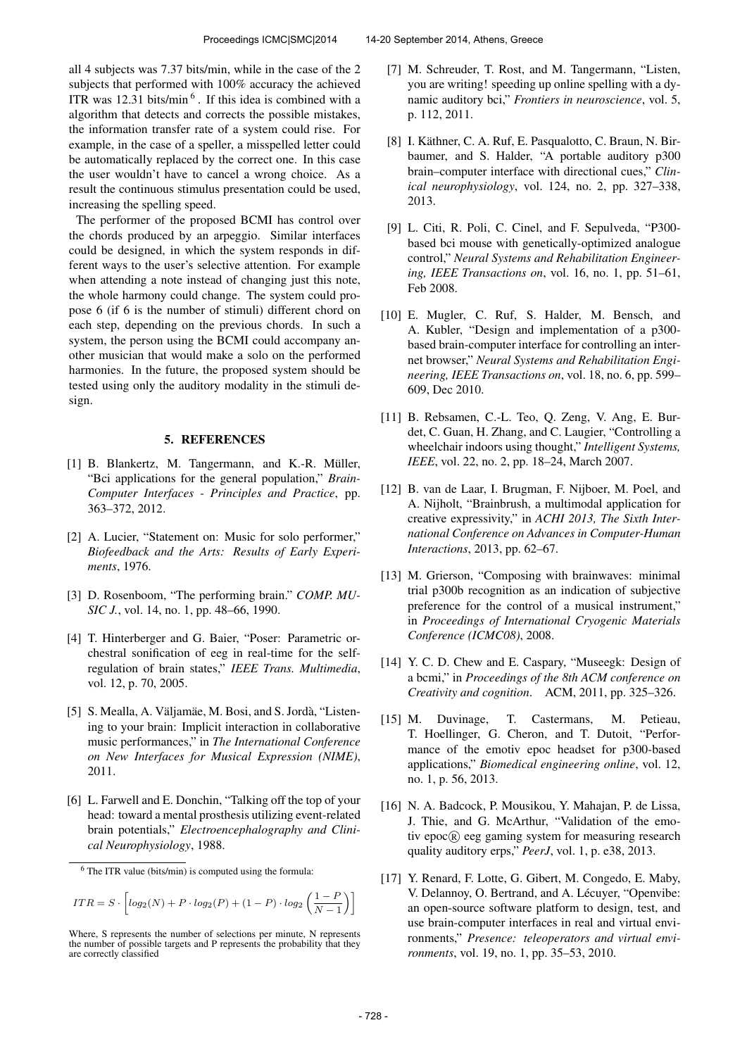all 4 subjects was 7.37 bits/min, while in the case of the 2 subjects that performed with 100% accuracy the achieved ITR was  $12.31$  bits/min<sup>6</sup>. If this idea is combined with a algorithm that detects and corrects the possible mistakes, the information transfer rate of a system could rise. For example, in the case of a speller, a misspelled letter could be automatically replaced by the correct one. In this case the user wouldn't have to cancel a wrong choice. As a result the continuous stimulus presentation could be used, increasing the spelling speed.

The performer of the proposed BCMI has control over the chords produced by an arpeggio. Similar interfaces could be designed, in which the system responds in different ways to the user's selective attention. For example when attending a note instead of changing just this note, the whole harmony could change. The system could propose 6 (if 6 is the number of stimuli) different chord on each step, depending on the previous chords. In such a system, the person using the BCMI could accompany another musician that would make a solo on the performed harmonies. In the future, the proposed system should be tested using only the auditory modality in the stimuli design.

### 5. REFERENCES

- [1] B. Blankertz, M. Tangermann, and K.-R. Müller, "Bci applications for the general population," *Brain-Computer Interfaces - Principles and Practice*, pp. 363–372, 2012.
- [2] A. Lucier, "Statement on: Music for solo performer," *Biofeedback and the Arts: Results of Early Experiments*, 1976.
- [3] D. Rosenboom, "The performing brain." *COMP. MU-SIC J.*, vol. 14, no. 1, pp. 48–66, 1990.
- [4] T. Hinterberger and G. Baier, "Poser: Parametric orchestral sonification of eeg in real-time for the selfregulation of brain states," *IEEE Trans. Multimedia*, vol. 12, p. 70, 2005.
- [5] S. Mealla, A. Väljamäe, M. Bosi, and S. Jordà, "Listening to your brain: Implicit interaction in collaborative music performances," in *The International Conference on New Interfaces for Musical Expression (NIME)*, 2011.
- [6] L. Farwell and E. Donchin, "Talking off the top of your head: toward a mental prosthesis utilizing event-related brain potentials," *Electroencephalography and Clinical Neurophysiology*, 1988.

$$
ITR = S \cdot \left[ log_2(N) + P \cdot log_2(P) + (1 - P) \cdot log_2\left(\frac{1 - P}{N - 1}\right) \right]
$$

- [7] M. Schreuder, T. Rost, and M. Tangermann, "Listen, you are writing! speeding up online spelling with a dynamic auditory bci," *Frontiers in neuroscience*, vol. 5, p. 112, 2011.
- [8] I. Käthner, C. A. Ruf, E. Pasqualotto, C. Braun, N. Birbaumer, and S. Halder, "A portable auditory p300 brain–computer interface with directional cues," *Clinical neurophysiology*, vol. 124, no. 2, pp. 327–338, 2013.
- [9] L. Citi, R. Poli, C. Cinel, and F. Sepulveda, "P300 based bci mouse with genetically-optimized analogue control," *Neural Systems and Rehabilitation Engineering, IEEE Transactions on*, vol. 16, no. 1, pp. 51–61, Feb 2008.
- [10] E. Mugler, C. Ruf, S. Halder, M. Bensch, and A. Kubler, "Design and implementation of a p300 based brain-computer interface for controlling an internet browser," *Neural Systems and Rehabilitation Engineering, IEEE Transactions on*, vol. 18, no. 6, pp. 599– 609, Dec 2010.
- [11] B. Rebsamen, C.-L. Teo, Q. Zeng, V. Ang, E. Burdet, C. Guan, H. Zhang, and C. Laugier, "Controlling a wheelchair indoors using thought," *Intelligent Systems, IEEE*, vol. 22, no. 2, pp. 18–24, March 2007.
- [12] B. van de Laar, I. Brugman, F. Nijboer, M. Poel, and A. Nijholt, "Brainbrush, a multimodal application for creative expressivity," in *ACHI 2013, The Sixth International Conference on Advances in Computer-Human Interactions*, 2013, pp. 62–67.
- [13] M. Grierson, "Composing with brainwaves: minimal trial p300b recognition as an indication of subjective preference for the control of a musical instrument," in *Proceedings of International Cryogenic Materials Conference (ICMC08)*, 2008.
- [14] Y. C. D. Chew and E. Caspary, "Museegk: Design of a bcmi," in *Proceedings of the 8th ACM conference on Creativity and cognition*. ACM, 2011, pp. 325–326.
- [15] M. Duvinage, T. Castermans, M. Petieau, T. Hoellinger, G. Cheron, and T. Dutoit, "Performance of the emotiv epoc headset for p300-based applications," *Biomedical engineering online*, vol. 12, no. 1, p. 56, 2013.
- [16] N. A. Badcock, P. Mousikou, Y. Mahajan, P. de Lissa, J. Thie, and G. McArthur, "Validation of the emotiv epoc <sup>R</sup> eeg gaming system for measuring research quality auditory erps," *PeerJ*, vol. 1, p. e38, 2013.
- [17] Y. Renard, F. Lotte, G. Gibert, M. Congedo, E. Maby, V. Delannoy, O. Bertrand, and A. Lécuyer, "Openvibe: an open-source software platform to design, test, and use brain-computer interfaces in real and virtual environments," *Presence: teleoperators and virtual environments*, vol. 19, no. 1, pp. 35–53, 2010.

 $6$  The ITR value (bits/min) is computed using the formula:

Where, S represents the number of selections per minute, N represents the number of possible targets and P represents the probability that they are correctly classified